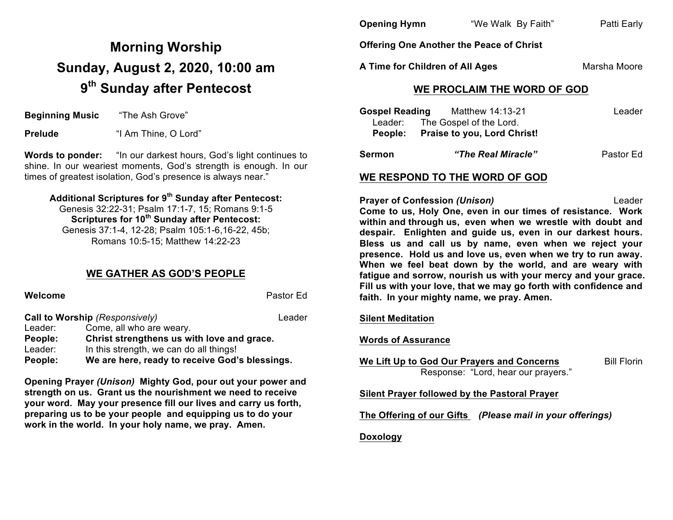# **Morning Worship Sunday, August 2, 2020, 10:00 am 9th Sunday after Pentecost**

**Beginning Music** "The Ash Grove"

**Prelude** "I Am Thine, O Lord"

**Words to ponder:** "In our darkest hours, God's light continues to shine. In our weariest moments, God's strength is enough. In our times of greatest isolation, God's presence is always near."

## **Additional Scriptures for 9th Sunday after Pentecost:**

Genesis 32:22-31; Psalm 17:1-7, 15; Romans 9:1-5 **Scriptures for 10th Sunday after Pentecost:**  Genesis 37:1-4, 12-28; Psalm 105:1-6,16-22, 45b; Romans 10:5-15; Matthew 14:22-23

#### **WE GATHER AS GOD'S PEOPLE**

| Welcome |                                                | Pastor Ed |
|---------|------------------------------------------------|-----------|
|         | Call to Worship (Responsively)                 | Leader    |
| Leader: | Come, all who are weary.                       |           |
| People: | Christ strengthens us with love and grace.     |           |
| Leader: | In this strength, we can do all things!        |           |
| People: | We are here, ready to receive God's blessings. |           |

**Opening Prayer** *(Unison)* **Mighty God, pour out your power and strength on us. Grant us the nourishment we need to receive your word. May your presence fill our lives and carry us forth, preparing us to be your people and equipping us to do your work in the world. In your holy name, we pray. Amen.**

| <b>Opening Hymn</b> | "We Walk By Faith" | Patti Early |
|---------------------|--------------------|-------------|
|                     |                    |             |

**Offering One Another the Peace of Christ**

**A Time for Children of All Ages** Marsha Moore

### **WE PROCLAIM THE WORD OF GOD**

| <b>Gospel Reading</b> | Matthew 14:13-21                   | Leader    |
|-----------------------|------------------------------------|-----------|
|                       | Leader: The Gospel of the Lord.    |           |
| People:               | <b>Praise to you, Lord Christ!</b> |           |
| <b>Sermon</b>         | "The Real Miracle"                 | Pastor Ed |

#### **WE RESPOND TO THE WORD OF GOD**

**Prayer of Confession** *(Unison)* Leader **Come to us, Holy One, even in our times of resistance. Work within and through us, even when we wrestle with doubt and despair. Enlighten and guide us, even in our darkest hours. Bless us and call us by name, even when we reject your presence. Hold us and love us, even when we try to run away. When we feel beat down by the world, and are weary with fatigue and sorrow, nourish us with your mercy and your grace. Fill us with your love, that we may go forth with confidence and faith. In your mighty name, we pray. Amen.**

#### **Silent Meditation**

#### **Words of Assurance**

**We Lift Up to God Our Prayers and Concerns** Bill Florin Response: "Lord, hear our prayers."

**Silent Prayer followed by the Pastoral Prayer**

**The Offering of our Gifts** *(Please mail in your offerings)*

#### **Doxology**